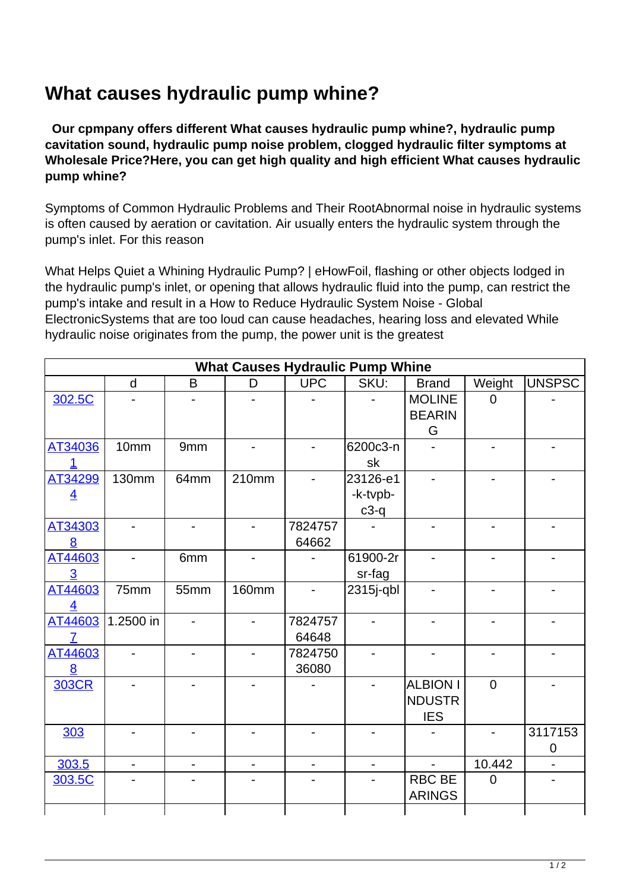## **What causes hydraulic pump whine?**

 **Our cpmpany offers different What causes hydraulic pump whine?, hydraulic pump cavitation sound, hydraulic pump noise problem, clogged hydraulic filter symptoms at Wholesale Price?Here, you can get high quality and high efficient What causes hydraulic pump whine?**

Symptoms of Common Hydraulic Problems and Their RootAbnormal noise in hydraulic systems is often caused by aeration or cavitation. Air usually enters the hydraulic system through the pump's inlet. For this reason

What Helps Quiet a Whining Hydraulic Pump? | eHowFoil, flashing or other objects lodged in the hydraulic pump's inlet, or opening that allows hydraulic fluid into the pump, can restrict the pump's intake and result in a How to Reduce Hydraulic System Noise - Global ElectronicSystems that are too loud can cause headaches, hearing loss and elevated While hydraulic noise originates from the pump, the power unit is the greatest

| <b>What Causes Hydraulic Pump Whine</b> |                          |                          |                          |                          |                          |                 |                          |                |
|-----------------------------------------|--------------------------|--------------------------|--------------------------|--------------------------|--------------------------|-----------------|--------------------------|----------------|
|                                         | d                        | B                        | D                        | <b>UPC</b>               | SKU:                     | <b>Brand</b>    | Weight                   | UNSPSC         |
| 302.5C                                  |                          |                          |                          |                          |                          | <b>MOLINE</b>   | $\overline{0}$           |                |
|                                         |                          |                          |                          |                          |                          | <b>BEARIN</b>   |                          |                |
|                                         |                          |                          |                          |                          |                          | G               |                          |                |
| AT34036                                 | 10mm                     | 9mm                      | $\overline{a}$           | $\overline{a}$           | 6200c3-n                 |                 |                          | $\blacksquare$ |
| 1                                       |                          |                          |                          |                          | sk                       |                 |                          |                |
| AT34299                                 | <b>130mm</b>             | 64mm                     | 210mm                    |                          | 23126-e1                 |                 |                          |                |
| $\overline{4}$                          |                          |                          |                          |                          | -k-tvpb-                 |                 |                          |                |
|                                         |                          |                          |                          |                          | $c3-q$                   |                 |                          |                |
| AT34303                                 |                          | $\blacksquare$           | $\overline{a}$           | 7824757                  |                          |                 |                          |                |
| 8                                       |                          |                          |                          | 64662                    |                          |                 |                          |                |
| AT44603                                 |                          | 6mm                      |                          |                          | 61900-2r                 |                 |                          |                |
| 3                                       |                          |                          |                          |                          | sr-fag                   |                 |                          |                |
| AT44603                                 | 75mm                     | 55mm                     | <b>160mm</b>             |                          | 2315j-qbl                |                 |                          |                |
| 4                                       |                          |                          |                          |                          |                          |                 |                          |                |
| AT44603                                 | 1.2500 in                | $\overline{\phantom{a}}$ | $\blacksquare$           | 7824757                  | $\overline{a}$           |                 |                          |                |
| 7                                       |                          |                          |                          | 64648                    |                          |                 |                          |                |
| AT44603                                 | $\overline{\phantom{a}}$ | $\overline{\phantom{a}}$ | $\blacksquare$           | 7824750                  | $\overline{\phantom{a}}$ | -               | -                        | $\blacksquare$ |
| 8                                       |                          |                          |                          | 36080                    |                          |                 |                          |                |
| <b>303CR</b>                            |                          |                          |                          |                          |                          | <b>ALBION I</b> | $\overline{0}$           |                |
|                                         |                          |                          |                          |                          |                          | <b>NDUSTR</b>   |                          |                |
|                                         |                          |                          |                          |                          |                          | <b>IES</b>      |                          |                |
| 303                                     |                          |                          |                          |                          |                          |                 | $\overline{\phantom{0}}$ | 3117153        |
|                                         |                          |                          |                          |                          |                          |                 |                          | $\pmb{0}$      |
| 303.5                                   | $\overline{\phantom{0}}$ | $\overline{\phantom{a}}$ | $\overline{\phantom{0}}$ | $\overline{\phantom{a}}$ | $\overline{a}$           | $\blacksquare$  | 10.442                   |                |
| 303.5C                                  |                          |                          |                          |                          |                          | <b>RBC BE</b>   | $\overline{0}$           |                |
|                                         |                          |                          |                          |                          |                          | <b>ARINGS</b>   |                          |                |
|                                         |                          |                          |                          |                          |                          |                 |                          |                |